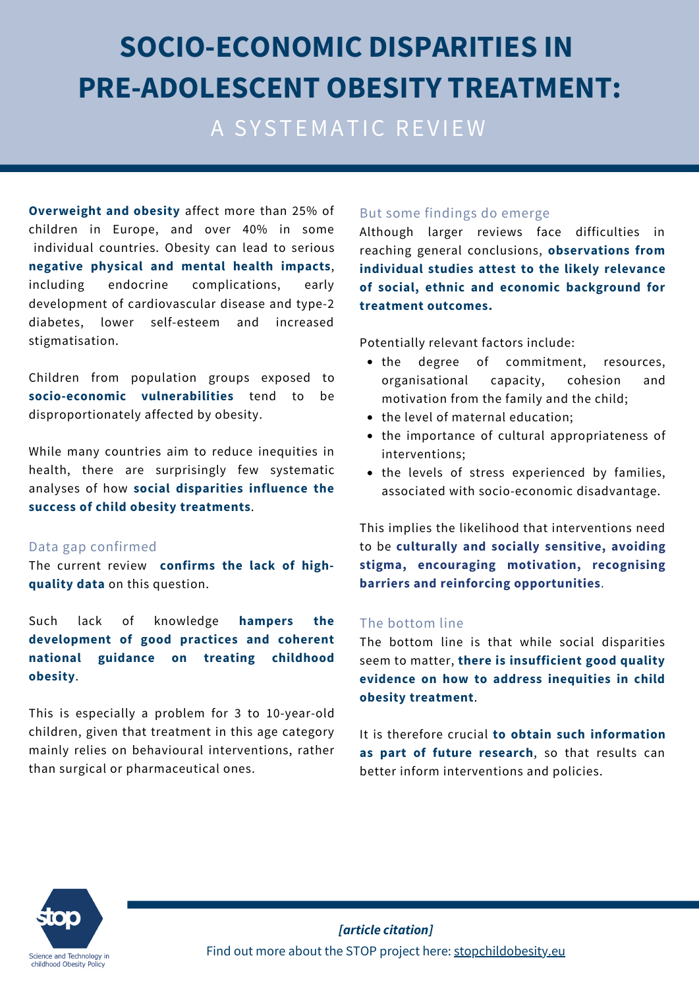# **SOCIO-ECONOMIC DISPARITIES IN PRE-ADOLESCENT OBESITY TREATMENT:**

A SYSTEMATIC REVIEW

**Overweight and obesity** affect more than 25% of children in Europe, and over 40% in some individual countries. Obesity can lead to serious **negative physical and mental health impacts**, including endocrine complications, early development of cardiovascular disease and type-2 diabetes, lower self-esteem and increased stigmatisation.

Children from population groups exposed to **socio-economic vulnerabilities** tend to be disproportionately affected by obesity.

While many countries aim to reduce inequities in health, there are surprisingly few systematic analyses of how **social disparities influence the success of child obesity treatments**.

#### Data gap confirmed

The current review **confirms the lack of highquality data** on this question.

Such lack of knowledge **hampers the development of good practices and coherent national guidance on treating childhood obesity**.

This is especially a problem for 3 to 10-year-old children, given that treatment in this age category mainly relies on behavioural interventions, rather than surgical or pharmaceutical ones.

#### But some findings do emerge

Although larger reviews face difficulties in reaching general conclusions, **observations from individual studies attest to the likely relevance of social, ethnic and economic background for treatment outcomes.**

Potentially relevant factors include:

- the degree of commitment, resources, organisational capacity, cohesion and motivation from the family and the child;
- the level of maternal education;
- the importance of cultural appropriateness of interventions;
- the levels of stress experienced by families, associated with socio-economic disadvantage.

This implies the likelihood that interventions need to be **culturally and socially sensitive, avoiding stigma, encouraging motivation, recognising barriers and reinforcing opportunities**.

#### The bottom line

The bottom line is that while social disparities seem to matter, **there is insufficient good quality evidence on how to address inequities in child obesity treatment**.

It is therefore crucial **to obtain such information as part of future research**, so that results can better inform interventions and policies.



*[article citation]* Find out more about the STOP project here: [stopchildobesity.eu](http://www.stopchildobesity.eu/)